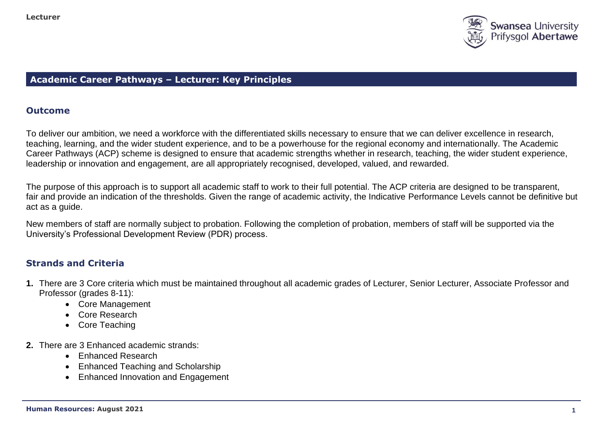

# **Academic Career Pathways – Lecturer: Key Principles**

## **Outcome**

To deliver our ambition, we need a workforce with the differentiated skills necessary to ensure that we can deliver excellence in research, teaching, learning, and the wider student experience, and to be a powerhouse for the regional economy and internationally. The Academic Career Pathways (ACP) scheme is designed to ensure that academic strengths whether in research, teaching, the wider student experience, leadership or innovation and engagement, are all appropriately recognised, developed, valued, and rewarded.

The purpose of this approach is to support all academic staff to work to their full potential. The ACP criteria are designed to be transparent, fair and provide an indication of the thresholds. Given the range of academic activity, the Indicative Performance Levels cannot be definitive but act as a guide.

New members of staff are normally subject to probation. Following the completion of probation, members of staff will be supported via the University's Professional Development Review (PDR) process.

# **Strands and Criteria**

- **1.** There are 3 Core criteria which must be maintained throughout all academic grades of Lecturer, Senior Lecturer, Associate Professor and Professor (grades 8-11):
	- Core Management
	- Core Research
	- Core Teaching
- **2.** There are 3 Enhanced academic strands:
	- Enhanced Research
	- Enhanced Teaching and Scholarship
	- Enhanced Innovation and Engagement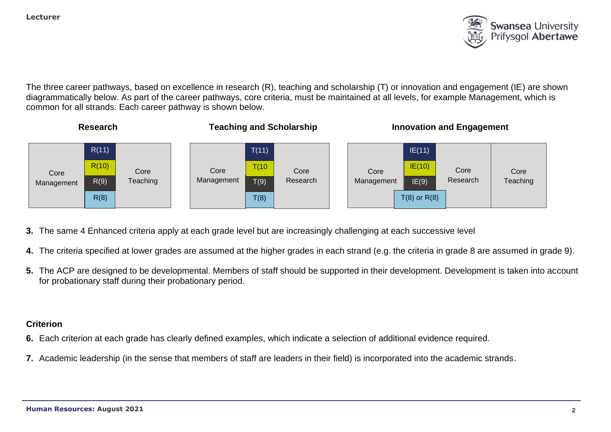

The three career pathways, based on excellence in research (R), teaching and scholarship (T) or innovation and engagement (IE) are shown diagrammatically below. As part of the career pathways, core criteria, must be maintained at all levels, for example Management, which is common for all strands. Each career pathway is shown below.



- **3.** The same 4 Enhanced criteria apply at each grade level but are increasingly challenging at each successive level
- **4.** The criteria specified at lower grades are assumed at the higher grades in each strand (e.g. the criteria in grade 8 are assumed in grade 9).
- **5.** The ACP are designed to be developmental. Members of staff should be supported in their development. Development is taken into account for probationary staff during their probationary period.

## **Criterion**

- **6.** Each criterion at each grade has clearly defined examples, which indicate a selection of additional evidence required.
- **7.** Academic leadership (in the sense that members of staff are leaders in their field) is incorporated into the academic strands.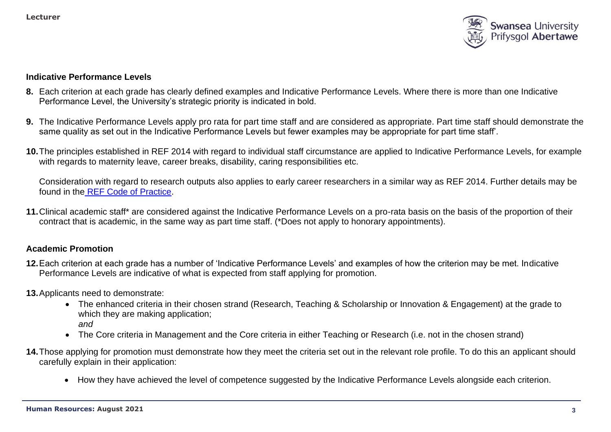

#### **Indicative Performance Levels**

- **8.** Each criterion at each grade has clearly defined examples and Indicative Performance Levels. Where there is more than one Indicative Performance Level, the University's strategic priority is indicated in bold.
- **9.** The Indicative Performance Levels apply pro rata for part time staff and are considered as appropriate. Part time staff should demonstrate the same quality as set out in the Indicative Performance Levels but fewer examples may be appropriate for part time staff'.
- **10.**The principles established in REF 2014 with regard to individual staff circumstance are applied to Indicative Performance Levels, for example with regards to maternity leave, career breaks, disability, caring responsibilities etc.

Consideration with regard to research outputs also applies to early career researchers in a similar way as REF 2014. Further details may be found in the [REF Code of Practice.](https://collaborate.swan.ac.uk/staff/projects/ref2015/SitePages/Home.aspx?RootFolder=%2Fstaff%2Fprojects%2Fref2015%2FShared%20Documents%2FInterim%20Code%20of%20Practice&FolderCTID=0x012000139FED14E093C94AB30ACC07EB68EE04&View=%7b72FCCC2E-4AD6-4F87-B278-20942BE53F44%7d)

**11.**Clinical academic staff\* are considered against the Indicative Performance Levels on a pro-rata basis on the basis of the proportion of their contract that is academic, in the same way as part time staff. (\*Does not apply to honorary appointments).

## **Academic Promotion**

- **12.**Each criterion at each grade has a number of 'Indicative Performance Levels' and examples of how the criterion may be met. Indicative Performance Levels are indicative of what is expected from staff applying for promotion.
- **13.**Applicants need to demonstrate:
	- The enhanced criteria in their chosen strand (Research, Teaching & Scholarship or Innovation & Engagement) at the grade to which they are making application; *and*
	- The Core criteria in Management and the Core criteria in either Teaching or Research (i.e. not in the chosen strand)
- **14.**Those applying for promotion must demonstrate how they meet the criteria set out in the relevant role profile. To do this an applicant should carefully explain in their application:
	- How they have achieved the level of competence suggested by the Indicative Performance Levels alongside each criterion.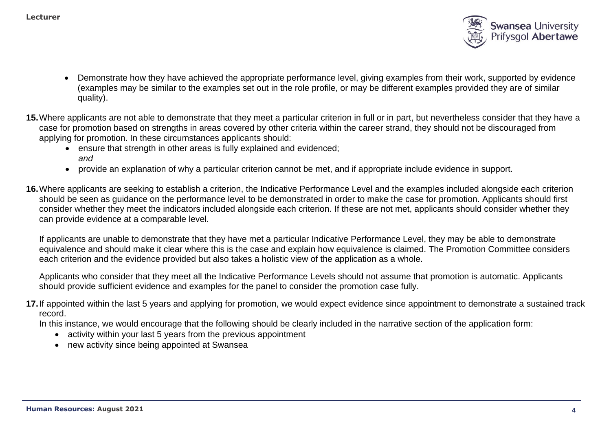

- Demonstrate how they have achieved the appropriate performance level, giving examples from their work, supported by evidence (examples may be similar to the examples set out in the role profile, or may be different examples provided they are of similar quality).
- **15.**Where applicants are not able to demonstrate that they meet a particular criterion in full or in part, but nevertheless consider that they have a case for promotion based on strengths in areas covered by other criteria within the career strand, they should not be discouraged from applying for promotion. In these circumstances applicants should:
	- ensure that strength in other areas is fully explained and evidenced: *and*
	- provide an explanation of why a particular criterion cannot be met, and if appropriate include evidence in support.
- **16.**Where applicants are seeking to establish a criterion, the Indicative Performance Level and the examples included alongside each criterion should be seen as guidance on the performance level to be demonstrated in order to make the case for promotion. Applicants should first consider whether they meet the indicators included alongside each criterion. If these are not met, applicants should consider whether they can provide evidence at a comparable level.

If applicants are unable to demonstrate that they have met a particular Indicative Performance Level, they may be able to demonstrate equivalence and should make it clear where this is the case and explain how equivalence is claimed. The Promotion Committee considers each criterion and the evidence provided but also takes a holistic view of the application as a whole.

Applicants who consider that they meet all the Indicative Performance Levels should not assume that promotion is automatic. Applicants should provide sufficient evidence and examples for the panel to consider the promotion case fully.

**17.**If appointed within the last 5 years and applying for promotion, we would expect evidence since appointment to demonstrate a sustained track record.

In this instance, we would encourage that the following should be clearly included in the narrative section of the application form:

- activity within your last 5 years from the previous appointment
- new activity since being appointed at Swansea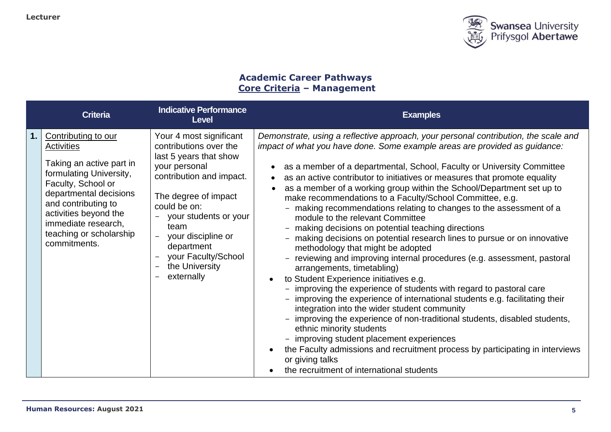

# **Academic Career Pathways Core Criteria – Management**

|    | <b>Criteria</b>                                                                                                                                                                                                                                                   | <b>Indicative Performance</b><br><b>Level</b>                                                                                                                                                                                                                                                                 | <b>Examples</b>                                                                                                                                                                                                                                                                                                                                                                                                                                                                                                                                                                                                                                                                                                                                                                                                                                                                                                                                                                                                                                                                                                                                                                                                                                                                                                                                                                                                                                                                     |
|----|-------------------------------------------------------------------------------------------------------------------------------------------------------------------------------------------------------------------------------------------------------------------|---------------------------------------------------------------------------------------------------------------------------------------------------------------------------------------------------------------------------------------------------------------------------------------------------------------|-------------------------------------------------------------------------------------------------------------------------------------------------------------------------------------------------------------------------------------------------------------------------------------------------------------------------------------------------------------------------------------------------------------------------------------------------------------------------------------------------------------------------------------------------------------------------------------------------------------------------------------------------------------------------------------------------------------------------------------------------------------------------------------------------------------------------------------------------------------------------------------------------------------------------------------------------------------------------------------------------------------------------------------------------------------------------------------------------------------------------------------------------------------------------------------------------------------------------------------------------------------------------------------------------------------------------------------------------------------------------------------------------------------------------------------------------------------------------------------|
| 1. | Contributing to our<br><b>Activities</b><br>Taking an active part in<br>formulating University,<br>Faculty, School or<br>departmental decisions<br>and contributing to<br>activities beyond the<br>immediate research,<br>teaching or scholarship<br>commitments. | Your 4 most significant<br>contributions over the<br>last 5 years that show<br>your personal<br>contribution and impact.<br>The degree of impact<br>could be on:<br>your students or your<br>team<br>your discipline or<br>$\frac{1}{2}$<br>department<br>your Faculty/School<br>the University<br>externally | Demonstrate, using a reflective approach, your personal contribution, the scale and<br>impact of what you have done. Some example areas are provided as guidance:<br>as a member of a departmental, School, Faculty or University Committee<br>$\bullet$<br>as an active contributor to initiatives or measures that promote equality<br>$\bullet$<br>as a member of a working group within the School/Department set up to<br>make recommendations to a Faculty/School Committee, e.g.<br>- making recommendations relating to changes to the assessment of a<br>module to the relevant Committee<br>- making decisions on potential teaching directions<br>- making decisions on potential research lines to pursue or on innovative<br>methodology that might be adopted<br>- reviewing and improving internal procedures (e.g. assessment, pastoral<br>arrangements, timetabling)<br>to Student Experience initiatives e.g.<br>$\bullet$<br>- improving the experience of students with regard to pastoral care<br>- improving the experience of international students e.g. facilitating their<br>integration into the wider student community<br>improving the experience of non-traditional students, disabled students,<br>ethnic minority students<br>- improving student placement experiences<br>the Faculty admissions and recruitment process by participating in interviews<br>$\bullet$<br>or giving talks<br>the recruitment of international students<br>$\bullet$ |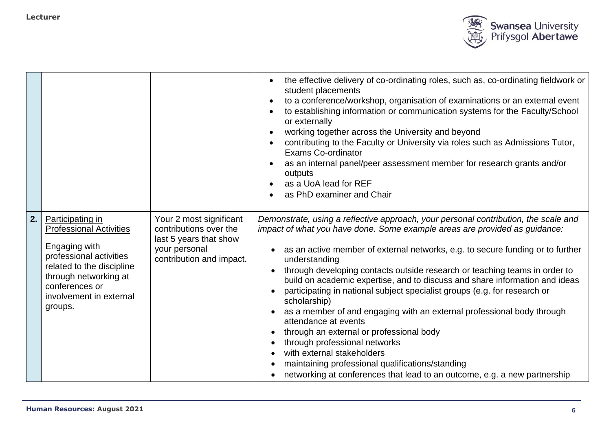

|    |                                                                                                                                                                                                              |                                                                                                                          | the effective delivery of co-ordinating roles, such as, co-ordinating fieldwork or<br>student placements<br>to a conference/workshop, organisation of examinations or an external event<br>to establishing information or communication systems for the Faculty/School<br>or externally<br>working together across the University and beyond<br>contributing to the Faculty or University via roles such as Admissions Tutor,<br><b>Exams Co-ordinator</b><br>as an internal panel/peer assessment member for research grants and/or<br>outputs<br>as a UoA lead for REF<br>as PhD examiner and Chair                                                                                                                                                                                                                                                                        |
|----|--------------------------------------------------------------------------------------------------------------------------------------------------------------------------------------------------------------|--------------------------------------------------------------------------------------------------------------------------|------------------------------------------------------------------------------------------------------------------------------------------------------------------------------------------------------------------------------------------------------------------------------------------------------------------------------------------------------------------------------------------------------------------------------------------------------------------------------------------------------------------------------------------------------------------------------------------------------------------------------------------------------------------------------------------------------------------------------------------------------------------------------------------------------------------------------------------------------------------------------|
| 2. | Participating in<br><b>Professional Activities</b><br>Engaging with<br>professional activities<br>related to the discipline<br>through networking at<br>conferences or<br>involvement in external<br>groups. | Your 2 most significant<br>contributions over the<br>last 5 years that show<br>your personal<br>contribution and impact. | Demonstrate, using a reflective approach, your personal contribution, the scale and<br>impact of what you have done. Some example areas are provided as guidance:<br>as an active member of external networks, e.g. to secure funding or to further<br>understanding<br>through developing contacts outside research or teaching teams in order to<br>build on academic expertise, and to discuss and share information and ideas<br>participating in national subject specialist groups (e.g. for research or<br>scholarship)<br>as a member of and engaging with an external professional body through<br>attendance at events<br>through an external or professional body<br>through professional networks<br>with external stakeholders<br>maintaining professional qualifications/standing<br>networking at conferences that lead to an outcome, e.g. a new partnership |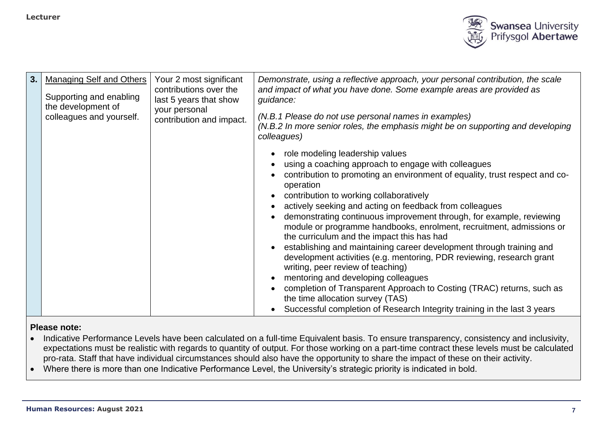

| 3. | <b>Managing Self and Others</b><br>Supporting and enabling<br>the development of | Your 2 most significant<br>contributions over the<br>last 5 years that show<br>your personal | Demonstrate, using a reflective approach, your personal contribution, the scale<br>and impact of what you have done. Some example areas are provided as<br>guidance:               |
|----|----------------------------------------------------------------------------------|----------------------------------------------------------------------------------------------|------------------------------------------------------------------------------------------------------------------------------------------------------------------------------------|
|    | colleagues and yourself.                                                         | contribution and impact.                                                                     | (N.B.1 Please do not use personal names in examples)<br>(N.B.2 In more senior roles, the emphasis might be on supporting and developing<br>colleagues)                             |
|    |                                                                                  |                                                                                              | role modeling leadership values                                                                                                                                                    |
|    |                                                                                  |                                                                                              | using a coaching approach to engage with colleagues<br>contribution to promoting an environment of equality, trust respect and co-<br>operation                                    |
|    |                                                                                  |                                                                                              | contribution to working collaboratively                                                                                                                                            |
|    |                                                                                  |                                                                                              | actively seeking and acting on feedback from colleagues<br>demonstrating continuous improvement through, for example, reviewing                                                    |
|    |                                                                                  |                                                                                              | module or programme handbooks, enrolment, recruitment, admissions or<br>the curriculum and the impact this has had                                                                 |
|    |                                                                                  |                                                                                              | establishing and maintaining career development through training and<br>development activities (e.g. mentoring, PDR reviewing, research grant<br>writing, peer review of teaching) |
|    |                                                                                  |                                                                                              | mentoring and developing colleagues                                                                                                                                                |
|    |                                                                                  |                                                                                              | completion of Transparent Approach to Costing (TRAC) returns, such as<br>the time allocation survey (TAS)                                                                          |
|    |                                                                                  |                                                                                              | Successful completion of Research Integrity training in the last 3 years                                                                                                           |

- Indicative Performance Levels have been calculated on a full-time Equivalent basis. To ensure transparency, consistency and inclusivity, expectations must be realistic with regards to quantity of output. For those working on a part-time contract these levels must be calculated pro-rata. Staff that have individual circumstances should also have the opportunity to share the impact of these on their activity.
- Where there is more than one Indicative Performance Level, the University's strategic priority is indicated in bold.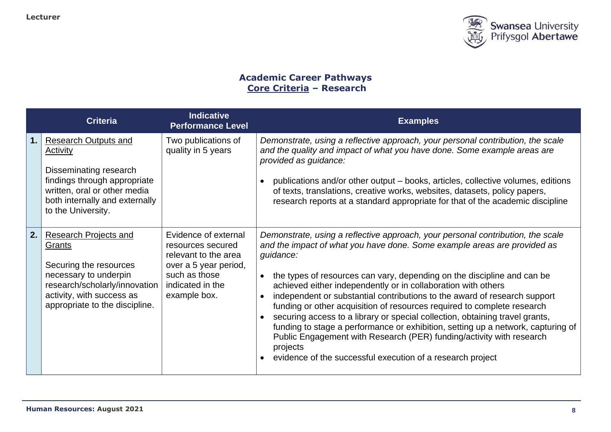

# **Academic Career Pathways Core Criteria – Research**

|     | <b>Criteria</b>                                                                                                                                                                           | <b>Indicative</b><br><b>Performance Level</b>                                                                                                   | <b>Examples</b>                                                                                                                                                                                                                                                                                                                                                                                                                                                                                                                                                                                                                                                                                                                                                                                                              |
|-----|-------------------------------------------------------------------------------------------------------------------------------------------------------------------------------------------|-------------------------------------------------------------------------------------------------------------------------------------------------|------------------------------------------------------------------------------------------------------------------------------------------------------------------------------------------------------------------------------------------------------------------------------------------------------------------------------------------------------------------------------------------------------------------------------------------------------------------------------------------------------------------------------------------------------------------------------------------------------------------------------------------------------------------------------------------------------------------------------------------------------------------------------------------------------------------------------|
| 1.  | <b>Research Outputs and</b><br>Activity<br>Disseminating research<br>findings through appropriate<br>written, oral or other media<br>both internally and externally<br>to the University. | Two publications of<br>quality in 5 years                                                                                                       | Demonstrate, using a reflective approach, your personal contribution, the scale<br>and the quality and impact of what you have done. Some example areas are<br>provided as guidance:<br>publications and/or other output – books, articles, collective volumes, editions<br>$\bullet$<br>of texts, translations, creative works, websites, datasets, policy papers,<br>research reports at a standard appropriate for that of the academic discipline                                                                                                                                                                                                                                                                                                                                                                        |
| 2.1 | <b>Research Projects and</b><br>Grants<br>Securing the resources<br>necessary to underpin<br>research/scholarly/innovation<br>activity, with success as<br>appropriate to the discipline. | Evidence of external<br>resources secured<br>relevant to the area<br>over a 5 year period,<br>such as those<br>indicated in the<br>example box. | Demonstrate, using a reflective approach, your personal contribution, the scale<br>and the impact of what you have done. Some example areas are provided as<br>guidance:<br>the types of resources can vary, depending on the discipline and can be<br>achieved either independently or in collaboration with others<br>independent or substantial contributions to the award of research support<br>funding or other acquisition of resources required to complete research<br>securing access to a library or special collection, obtaining travel grants,<br>$\bullet$<br>funding to stage a performance or exhibition, setting up a network, capturing of<br>Public Engagement with Research (PER) funding/activity with research<br>projects<br>evidence of the successful execution of a research project<br>$\bullet$ |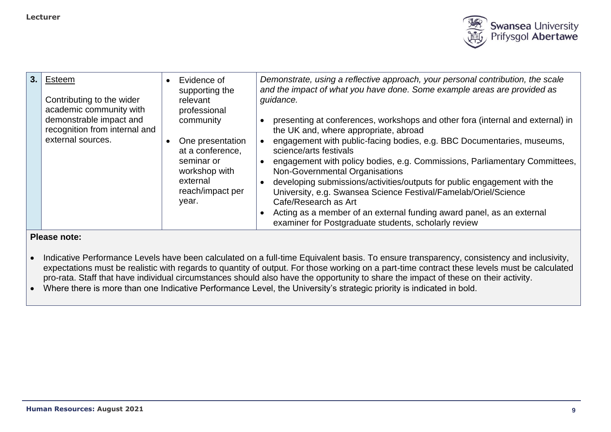

| 3 | Esteem<br>Contributing to the wider<br>academic community with                | Evidence of<br>supporting the<br>relevant<br>professional | Demonstrate, using a reflective approach, your personal contribution, the scale<br>and the impact of what you have done. Some example areas are provided as<br>guidance.                          |
|---|-------------------------------------------------------------------------------|-----------------------------------------------------------|---------------------------------------------------------------------------------------------------------------------------------------------------------------------------------------------------|
|   | demonstrable impact and<br>recognition from internal and<br>external sources. | community<br>One presentation                             | presenting at conferences, workshops and other fora (internal and external) in<br>the UK and, where appropriate, abroad<br>engagement with public-facing bodies, e.g. BBC Documentaries, museums, |
|   |                                                                               | at a conference,<br>seminar or                            | science/arts festivals<br>engagement with policy bodies, e.g. Commissions, Parliamentary Committees,                                                                                              |
|   |                                                                               | workshop with<br>external                                 | Non-Governmental Organisations<br>developing submissions/activities/outputs for public engagement with the                                                                                        |
|   |                                                                               | reach/impact per<br>year.                                 | University, e.g. Swansea Science Festival/Famelab/Oriel/Science<br>Cafe/Research as Art                                                                                                           |
|   |                                                                               |                                                           | Acting as a member of an external funding award panel, as an external<br>examiner for Postgraduate students, scholarly review                                                                     |

- Indicative Performance Levels have been calculated on a full-time Equivalent basis. To ensure transparency, consistency and inclusivity, expectations must be realistic with regards to quantity of output. For those working on a part-time contract these levels must be calculated pro-rata. Staff that have individual circumstances should also have the opportunity to share the impact of these on their activity.
- Where there is more than one Indicative Performance Level, the University's strategic priority is indicated in bold.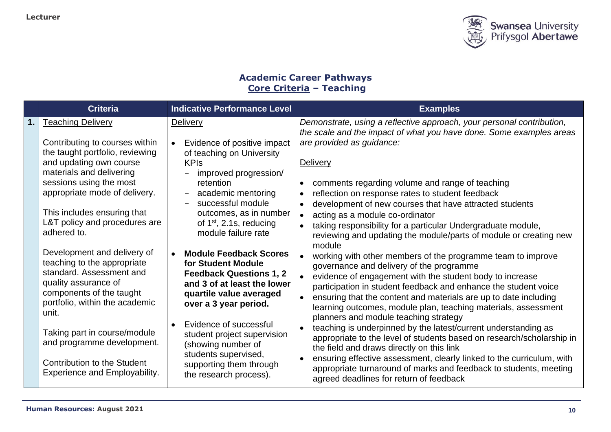

# **Academic Career Pathways Core Criteria – Teaching**

|    | <b>Criteria</b>                                                                                                                                                                                                                                                                                                                                                                                                                                                                                                                                                                       | <b>Indicative Performance Level</b>                                                                                                                                                                                                                                                                                                                                                                                                                                                                                                                                                                                        | <b>Examples</b>                                                                                                                                                                                                                                                                                                                                                                                                                                                                                                                                                                                                                                                                                                                                                                                                                                                                                                                                                                                                                                                                                                                                                                                                                            |
|----|---------------------------------------------------------------------------------------------------------------------------------------------------------------------------------------------------------------------------------------------------------------------------------------------------------------------------------------------------------------------------------------------------------------------------------------------------------------------------------------------------------------------------------------------------------------------------------------|----------------------------------------------------------------------------------------------------------------------------------------------------------------------------------------------------------------------------------------------------------------------------------------------------------------------------------------------------------------------------------------------------------------------------------------------------------------------------------------------------------------------------------------------------------------------------------------------------------------------------|--------------------------------------------------------------------------------------------------------------------------------------------------------------------------------------------------------------------------------------------------------------------------------------------------------------------------------------------------------------------------------------------------------------------------------------------------------------------------------------------------------------------------------------------------------------------------------------------------------------------------------------------------------------------------------------------------------------------------------------------------------------------------------------------------------------------------------------------------------------------------------------------------------------------------------------------------------------------------------------------------------------------------------------------------------------------------------------------------------------------------------------------------------------------------------------------------------------------------------------------|
| 1. | <b>Teaching Delivery</b><br>Contributing to courses within<br>the taught portfolio, reviewing<br>and updating own course<br>materials and delivering<br>sessions using the most<br>appropriate mode of delivery.<br>This includes ensuring that<br>L&T policy and procedures are<br>adhered to.<br>Development and delivery of<br>teaching to the appropriate<br>standard. Assessment and<br>quality assurance of<br>components of the taught<br>portfolio, within the academic<br>unit.<br>Taking part in course/module<br>and programme development.<br>Contribution to the Student | <b>Delivery</b><br>Evidence of positive impact<br>$\bullet$<br>of teaching on University<br><b>KPIs</b><br>improved progression/<br>retention<br>academic mentoring<br>$\equiv$<br>successful module<br>outcomes, as in number<br>of $1st$ , 2.1s, reducing<br>module failure rate<br><b>Module Feedback Scores</b><br>$\bullet$<br>for Student Module<br><b>Feedback Questions 1, 2</b><br>and 3 of at least the lower<br>quartile value averaged<br>over a 3 year period.<br>Evidence of successful<br>$\bullet$<br>student project supervision<br>(showing number of<br>students supervised,<br>supporting them through | Demonstrate, using a reflective approach, your personal contribution,<br>the scale and the impact of what you have done. Some examples areas<br>are provided as guidance:<br><b>Delivery</b><br>comments regarding volume and range of teaching<br>reflection on response rates to student feedback<br>development of new courses that have attracted students<br>acting as a module co-ordinator<br>taking responsibility for a particular Undergraduate module,<br>reviewing and updating the module/parts of module or creating new<br>module<br>working with other members of the programme team to improve<br>governance and delivery of the programme<br>evidence of engagement with the student body to increase<br>participation in student feedback and enhance the student voice<br>ensuring that the content and materials are up to date including<br>learning outcomes, module plan, teaching materials, assessment<br>planners and module teaching strategy<br>teaching is underpinned by the latest/current understanding as<br>appropriate to the level of students based on research/scholarship in<br>the field and draws directly on this link<br>ensuring effective assessment, clearly linked to the curriculum, with |
|    | <b>Experience and Employability.</b>                                                                                                                                                                                                                                                                                                                                                                                                                                                                                                                                                  | the research process).                                                                                                                                                                                                                                                                                                                                                                                                                                                                                                                                                                                                     | appropriate turnaround of marks and feedback to students, meeting<br>agreed deadlines for return of feedback                                                                                                                                                                                                                                                                                                                                                                                                                                                                                                                                                                                                                                                                                                                                                                                                                                                                                                                                                                                                                                                                                                                               |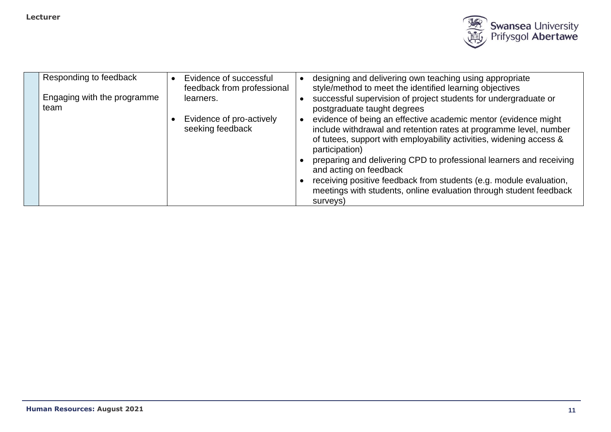

| Responding to feedback              | Evidence of successful<br>feedback from professional | designing and delivering own teaching using appropriate<br>style/method to meet the identified learning objectives                                                                                                           |
|-------------------------------------|------------------------------------------------------|------------------------------------------------------------------------------------------------------------------------------------------------------------------------------------------------------------------------------|
| Engaging with the programme<br>team | learners.                                            | successful supervision of project students for undergraduate or<br>postgraduate taught degrees                                                                                                                               |
|                                     | Evidence of pro-actively<br>seeking feedback         | evidence of being an effective academic mentor (evidence might<br>include withdrawal and retention rates at programme level, number<br>of tutees, support with employability activities, widening access &<br>participation) |
|                                     |                                                      | preparing and delivering CPD to professional learners and receiving<br>and acting on feedback                                                                                                                                |
|                                     |                                                      | receiving positive feedback from students (e.g. module evaluation,<br>meetings with students, online evaluation through student feedback<br>surveys)                                                                         |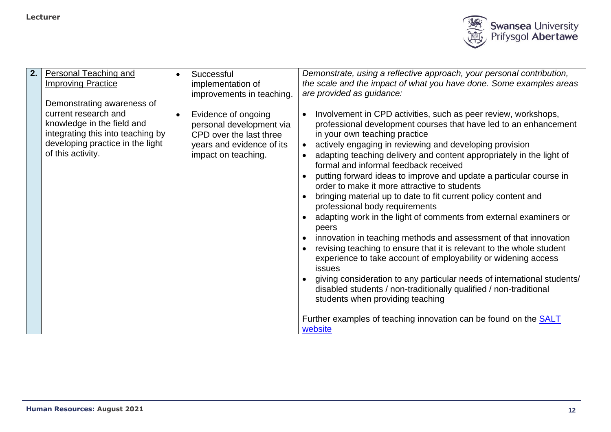

| 2. | <b>Personal Teaching and</b>      | Successful                | Demonstrate, using a reflective approach, your personal contribution,                                         |
|----|-----------------------------------|---------------------------|---------------------------------------------------------------------------------------------------------------|
|    | <b>Improving Practice</b>         | implementation of         | the scale and the impact of what you have done. Some examples areas                                           |
|    |                                   | improvements in teaching. | are provided as guidance:                                                                                     |
|    | Demonstrating awareness of        |                           |                                                                                                               |
|    | current research and              | Evidence of ongoing       | Involvement in CPD activities, such as peer review, workshops,                                                |
|    | knowledge in the field and        | personal development via  | professional development courses that have led to an enhancement                                              |
|    | integrating this into teaching by | CPD over the last three   | in your own teaching practice                                                                                 |
|    | developing practice in the light  | years and evidence of its | actively engaging in reviewing and developing provision                                                       |
|    | of this activity.                 | impact on teaching.       | adapting teaching delivery and content appropriately in the light of<br>formal and informal feedback received |
|    |                                   |                           | putting forward ideas to improve and update a particular course in                                            |
|    |                                   |                           | order to make it more attractive to students                                                                  |
|    |                                   |                           | bringing material up to date to fit current policy content and<br>professional body requirements              |
|    |                                   |                           | adapting work in the light of comments from external examiners or<br>peers                                    |
|    |                                   |                           | innovation in teaching methods and assessment of that innovation                                              |
|    |                                   |                           | revising teaching to ensure that it is relevant to the whole student                                          |
|    |                                   |                           | experience to take account of employability or widening access                                                |
|    |                                   |                           | issues                                                                                                        |
|    |                                   |                           | giving consideration to any particular needs of international students/                                       |
|    |                                   |                           | disabled students / non-traditionally qualified / non-traditional                                             |
|    |                                   |                           | students when providing teaching                                                                              |
|    |                                   |                           |                                                                                                               |
|    |                                   |                           | Further examples of teaching innovation can be found on the <b>SALT</b><br>website                            |
|    |                                   |                           |                                                                                                               |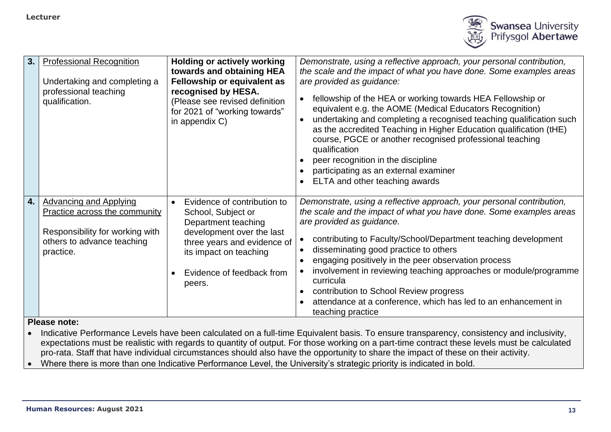

| 3.  | <b>Professional Recognition</b><br>Undertaking and completing a<br>professional teaching<br>qualification.                                          | <b>Holding or actively working</b><br>towards and obtaining HEA<br><b>Fellowship or equivalent as</b><br>recognised by HESA.<br>(Please see revised definition<br>for 2021 of "working towards"<br>in appendix C) | Demonstrate, using a reflective approach, your personal contribution,<br>the scale and the impact of what you have done. Some examples areas<br>are provided as guidance:<br>fellowship of the HEA or working towards HEA Fellowship or<br>equivalent e.g. the AOME (Medical Educators Recognition)<br>undertaking and completing a recognised teaching qualification such<br>as the accredited Teaching in Higher Education qualification (tHE)<br>course, PGCE or another recognised professional teaching<br>qualification<br>peer recognition in the discipline<br>participating as an external examiner<br>ELTA and other teaching awards |
|-----|-----------------------------------------------------------------------------------------------------------------------------------------------------|-------------------------------------------------------------------------------------------------------------------------------------------------------------------------------------------------------------------|------------------------------------------------------------------------------------------------------------------------------------------------------------------------------------------------------------------------------------------------------------------------------------------------------------------------------------------------------------------------------------------------------------------------------------------------------------------------------------------------------------------------------------------------------------------------------------------------------------------------------------------------|
| 4.1 | <b>Advancing and Applying</b><br><b>Practice across the community</b><br>Responsibility for working with<br>others to advance teaching<br>practice. | Evidence of contribution to<br>School, Subject or<br>Department teaching<br>development over the last<br>three years and evidence of<br>its impact on teaching<br>Evidence of feedback from<br>peers.             | Demonstrate, using a reflective approach, your personal contribution,<br>the scale and the impact of what you have done. Some examples areas<br>are provided as guidance.<br>contributing to Faculty/School/Department teaching development<br>disseminating good practice to others<br>engaging positively in the peer observation process<br>involvement in reviewing teaching approaches or module/programme<br>curricula<br>contribution to School Review progress<br>attendance at a conference, which has led to an enhancement in<br>teaching practice                                                                                  |

• Indicative Performance Levels have been calculated on a full-time Equivalent basis. To ensure transparency, consistency and inclusivity, expectations must be realistic with regards to quantity of output. For those working on a part-time contract these levels must be calculated pro-rata. Staff that have individual circumstances should also have the opportunity to share the impact of these on their activity.

• Where there is more than one Indicative Performance Level, the University's strategic priority is indicated in bold.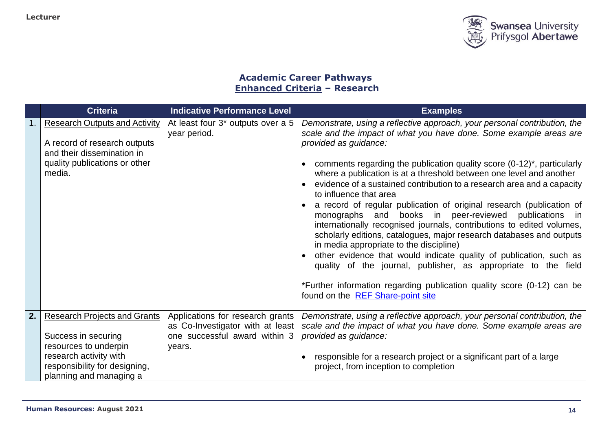

# **Academic Career Pathways Enhanced Criteria – Research**

|    | <b>Criteria</b>                                                                                                                                                           | <b>Indicative Performance Level</b>                                                                             | <b>Examples</b>                                                                                                                                                                                                                                                                                                                                                                                                                                                                                                                                                                                                                                                                                                                                                                                                                                                                                                                                                                                                           |
|----|---------------------------------------------------------------------------------------------------------------------------------------------------------------------------|-----------------------------------------------------------------------------------------------------------------|---------------------------------------------------------------------------------------------------------------------------------------------------------------------------------------------------------------------------------------------------------------------------------------------------------------------------------------------------------------------------------------------------------------------------------------------------------------------------------------------------------------------------------------------------------------------------------------------------------------------------------------------------------------------------------------------------------------------------------------------------------------------------------------------------------------------------------------------------------------------------------------------------------------------------------------------------------------------------------------------------------------------------|
|    | <b>Research Outputs and Activity</b><br>A record of research outputs<br>and their dissemination in<br>quality publications or other<br>media.                             | At least four 3 <sup>*</sup> outputs over a 5<br>year period.                                                   | Demonstrate, using a reflective approach, your personal contribution, the<br>scale and the impact of what you have done. Some example areas are<br>provided as guidance:<br>comments regarding the publication quality score (0-12)*, particularly<br>where a publication is at a threshold between one level and another<br>evidence of a sustained contribution to a research area and a capacity<br>to influence that area<br>a record of regular publication of original research (publication of<br>monographs and books in peer-reviewed<br>publications<br>- in<br>internationally recognised journals, contributions to edited volumes,<br>scholarly editions, catalogues, major research databases and outputs<br>in media appropriate to the discipline)<br>other evidence that would indicate quality of publication, such as<br>quality of the journal, publisher, as appropriate to the field<br>*Further information regarding publication quality score (0-12) can be<br>found on the REF Share-point site |
| 2. | <b>Research Projects and Grants</b><br>Success in securing<br>resources to underpin<br>research activity with<br>responsibility for designing,<br>planning and managing a | Applications for research grants<br>as Co-Investigator with at least<br>one successful award within 3<br>years. | Demonstrate, using a reflective approach, your personal contribution, the<br>scale and the impact of what you have done. Some example areas are<br>provided as guidance:<br>responsible for a research project or a significant part of a large<br>project, from inception to completion                                                                                                                                                                                                                                                                                                                                                                                                                                                                                                                                                                                                                                                                                                                                  |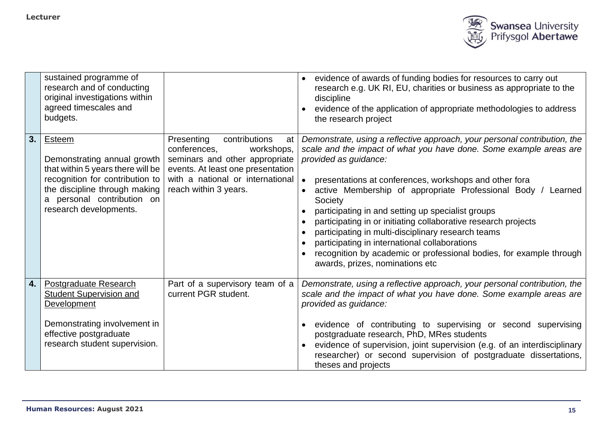

|    | sustained programme of<br>research and of conducting<br>original investigations within<br>agreed timescales and<br>budgets.                                                                            |                                                                                                                                                                                                     | evidence of awards of funding bodies for resources to carry out<br>research e.g. UK RI, EU, charities or business as appropriate to the<br>discipline<br>evidence of the application of appropriate methodologies to address<br>the research project                                                                                                                                                                                                                                                                                                                                                                                                     |
|----|--------------------------------------------------------------------------------------------------------------------------------------------------------------------------------------------------------|-----------------------------------------------------------------------------------------------------------------------------------------------------------------------------------------------------|----------------------------------------------------------------------------------------------------------------------------------------------------------------------------------------------------------------------------------------------------------------------------------------------------------------------------------------------------------------------------------------------------------------------------------------------------------------------------------------------------------------------------------------------------------------------------------------------------------------------------------------------------------|
| 3. | Esteem<br>Demonstrating annual growth<br>that within 5 years there will be<br>recognition for contribution to<br>the discipline through making<br>a personal contribution on<br>research developments. | Presenting<br>contributions<br>at<br>conferences,<br>workshops,<br>seminars and other appropriate<br>events. At least one presentation<br>with a national or international<br>reach within 3 years. | Demonstrate, using a reflective approach, your personal contribution, the<br>scale and the impact of what you have done. Some example areas are<br>provided as guidance:<br>presentations at conferences, workshops and other fora<br>active Membership of appropriate Professional Body /<br>Learned<br>Society<br>participating in and setting up specialist groups<br>participating in or initiating collaborative research projects<br>participating in multi-disciplinary research teams<br>participating in international collaborations<br>recognition by academic or professional bodies, for example through<br>awards, prizes, nominations etc |
| 4. | <b>Postgraduate Research</b><br><b>Student Supervision and</b><br>Development<br>Demonstrating involvement in<br>effective postgraduate<br>research student supervision.                               | Part of a supervisory team of a<br>current PGR student.                                                                                                                                             | Demonstrate, using a reflective approach, your personal contribution, the<br>scale and the impact of what you have done. Some example areas are<br>provided as guidance:<br>• evidence of contributing to supervising or second supervising<br>postgraduate research, PhD, MRes students<br>evidence of supervision, joint supervision (e.g. of an interdisciplinary<br>researcher) or second supervision of postgraduate dissertations,<br>theses and projects                                                                                                                                                                                          |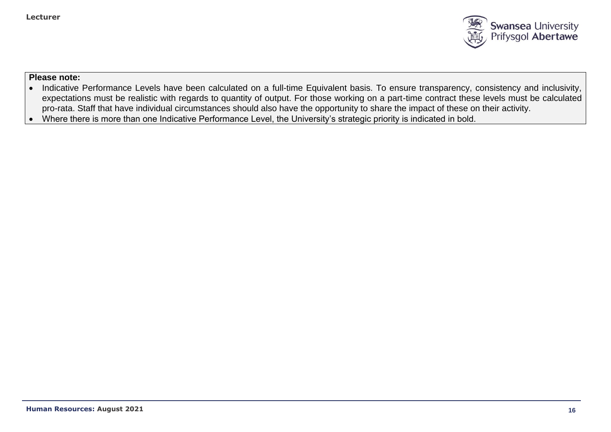

- Indicative Performance Levels have been calculated on a full-time Equivalent basis. To ensure transparency, consistency and inclusivity, expectations must be realistic with regards to quantity of output. For those working on a part-time contract these levels must be calculated pro-rata. Staff that have individual circumstances should also have the opportunity to share the impact of these on their activity.
- Where there is more than one Indicative Performance Level, the University's strategic priority is indicated in bold.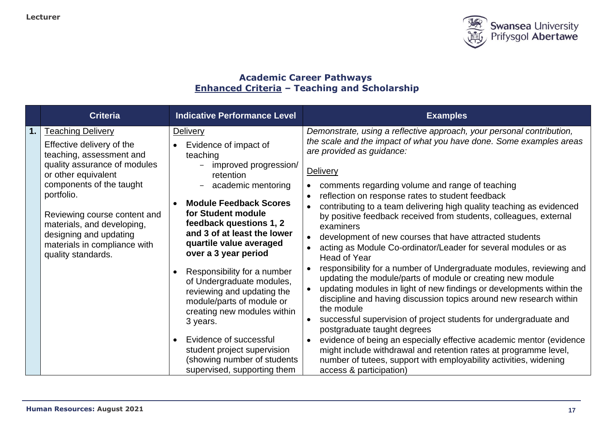

# **Academic Career Pathways Enhanced Criteria – Teaching and Scholarship**

|    | <b>Criteria</b>                                                                                                                                                                                                                                                                                                                  |           | <b>Indicative Performance Level</b>                                                                                                                                                                                                                                                                                                                                                                  |                                     | <b>Examples</b>                                                                                                                                                                                                                                                                                                                                                                                                                                                                                                                                                                                                                                                                                                                                                                                                                                                                        |
|----|----------------------------------------------------------------------------------------------------------------------------------------------------------------------------------------------------------------------------------------------------------------------------------------------------------------------------------|-----------|------------------------------------------------------------------------------------------------------------------------------------------------------------------------------------------------------------------------------------------------------------------------------------------------------------------------------------------------------------------------------------------------------|-------------------------------------|----------------------------------------------------------------------------------------------------------------------------------------------------------------------------------------------------------------------------------------------------------------------------------------------------------------------------------------------------------------------------------------------------------------------------------------------------------------------------------------------------------------------------------------------------------------------------------------------------------------------------------------------------------------------------------------------------------------------------------------------------------------------------------------------------------------------------------------------------------------------------------------|
| 1. | <b>Teaching Delivery</b><br>Effective delivery of the<br>teaching, assessment and<br>quality assurance of modules<br>or other equivalent<br>components of the taught<br>portfolio.<br>Reviewing course content and<br>materials, and developing,<br>designing and updating<br>materials in compliance with<br>quality standards. | $\bullet$ | Delivery<br>Evidence of impact of<br>teaching<br>improved progression/<br>retention<br>academic mentoring<br><b>Module Feedback Scores</b><br>for Student module<br>feedback questions 1, 2<br>and 3 of at least the lower<br>quartile value averaged<br>over a 3 year period<br>Responsibility for a number<br>of Undergraduate modules,<br>reviewing and updating the<br>module/parts of module or | $\bullet$<br>$\bullet$<br>$\bullet$ | Demonstrate, using a reflective approach, your personal contribution,<br>the scale and the impact of what you have done. Some examples areas<br>are provided as guidance:<br>Delivery<br>comments regarding volume and range of teaching<br>reflection on response rates to student feedback<br>contributing to a team delivering high quality teaching as evidenced<br>by positive feedback received from students, colleagues, external<br>examiners<br>development of new courses that have attracted students<br>acting as Module Co-ordinator/Leader for several modules or as<br>Head of Year<br>responsibility for a number of Undergraduate modules, reviewing and<br>updating the module/parts of module or creating new module<br>updating modules in light of new findings or developments within the<br>discipline and having discussion topics around new research within |
|    |                                                                                                                                                                                                                                                                                                                                  | $\bullet$ | creating new modules within<br>3 years.<br>Evidence of successful<br>student project supervision<br>(showing number of students                                                                                                                                                                                                                                                                      | $\bullet$                           | the module<br>successful supervision of project students for undergraduate and<br>postgraduate taught degrees<br>evidence of being an especially effective academic mentor (evidence<br>might include withdrawal and retention rates at programme level,<br>number of tutees, support with employability activities, widening                                                                                                                                                                                                                                                                                                                                                                                                                                                                                                                                                          |
|    |                                                                                                                                                                                                                                                                                                                                  |           | supervised, supporting them                                                                                                                                                                                                                                                                                                                                                                          |                                     | access & participation)                                                                                                                                                                                                                                                                                                                                                                                                                                                                                                                                                                                                                                                                                                                                                                                                                                                                |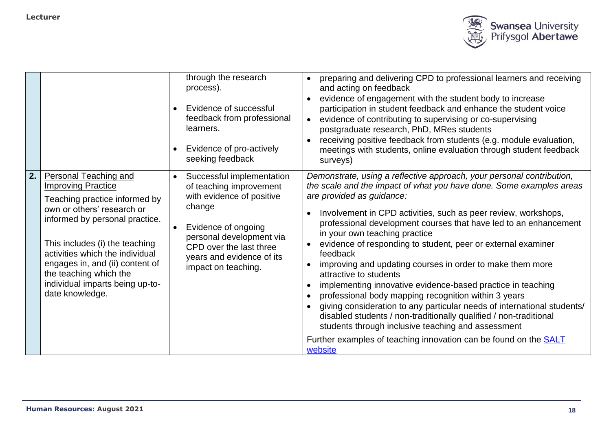

|    |                                                                                                                                                                                                                                                                                                                                                    | $\bullet$<br>$\bullet$ | through the research<br>process).<br>Evidence of successful<br>feedback from professional<br>learners.<br>Evidence of pro-actively<br>seeking feedback                                                                        | preparing and delivering CPD to professional learners and receiving<br>$\bullet$<br>and acting on feedback<br>evidence of engagement with the student body to increase<br>participation in student feedback and enhance the student voice<br>evidence of contributing to supervising or co-supervising<br>postgraduate research, PhD, MRes students<br>receiving positive feedback from students (e.g. module evaluation,<br>meetings with students, online evaluation through student feedback<br>surveys)                                                                                                                                                                                                                                                                                                                                                                                                                            |  |
|----|----------------------------------------------------------------------------------------------------------------------------------------------------------------------------------------------------------------------------------------------------------------------------------------------------------------------------------------------------|------------------------|-------------------------------------------------------------------------------------------------------------------------------------------------------------------------------------------------------------------------------|----------------------------------------------------------------------------------------------------------------------------------------------------------------------------------------------------------------------------------------------------------------------------------------------------------------------------------------------------------------------------------------------------------------------------------------------------------------------------------------------------------------------------------------------------------------------------------------------------------------------------------------------------------------------------------------------------------------------------------------------------------------------------------------------------------------------------------------------------------------------------------------------------------------------------------------|--|
| 2. | <b>Personal Teaching and</b><br><b>Improving Practice</b><br>Teaching practice informed by<br>own or others' research or<br>informed by personal practice.<br>This includes (i) the teaching<br>activities which the individual<br>engages in, and (ii) content of<br>the teaching which the<br>individual imparts being up-to-<br>date knowledge. | $\bullet$<br>$\bullet$ | Successful implementation<br>of teaching improvement<br>with evidence of positive<br>change<br>Evidence of ongoing<br>personal development via<br>CPD over the last three<br>years and evidence of its<br>impact on teaching. | Demonstrate, using a reflective approach, your personal contribution,<br>the scale and the impact of what you have done. Some examples areas<br>are provided as guidance:<br>Involvement in CPD activities, such as peer review, workshops,<br>professional development courses that have led to an enhancement<br>in your own teaching practice<br>evidence of responding to student, peer or external examiner<br>feedback<br>improving and updating courses in order to make them more<br>attractive to students<br>implementing innovative evidence-based practice in teaching<br>professional body mapping recognition within 3 years<br>giving consideration to any particular needs of international students/<br>disabled students / non-traditionally qualified / non-traditional<br>students through inclusive teaching and assessment<br>Further examples of teaching innovation can be found on the <b>SALT</b><br>website |  |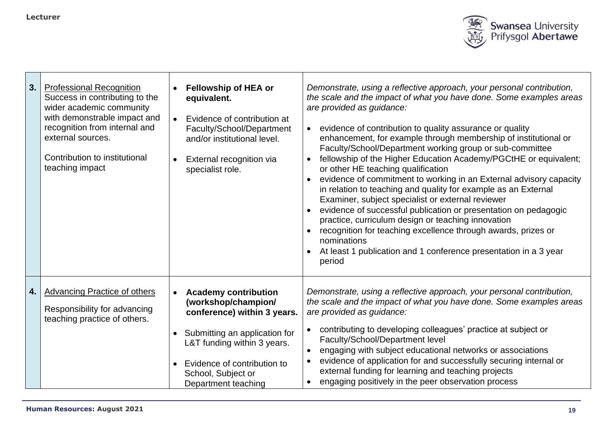

| 3. | <b>Professional Recognition</b><br>Success in contributing to the<br>wider academic community<br>with demonstrable impact and<br>recognition from internal and<br>external sources.<br>Contribution to institutional<br>teaching impact | $\bullet$                           | <b>Fellowship of HEA or</b><br>equivalent.<br>Evidence of contribution at<br>Faculty/School/Department<br>and/or institutional level.<br>External recognition via<br>specialist role.                                         | Demonstrate, using a reflective approach, your personal contribution,<br>the scale and the impact of what you have done. Some examples areas<br>are provided as guidance:<br>evidence of contribution to quality assurance or quality<br>$\bullet$<br>enhancement, for example through membership of institutional or<br>Faculty/School/Department working group or sub-committee<br>fellowship of the Higher Education Academy/PGCtHE or equivalent;<br>or other HE teaching qualification<br>evidence of commitment to working in an External advisory capacity<br>in relation to teaching and quality for example as an External<br>Examiner, subject specialist or external reviewer<br>evidence of successful publication or presentation on pedagogic<br>practice, curriculum design or teaching innovation<br>recognition for teaching excellence through awards, prizes or<br>nominations<br>At least 1 publication and 1 conference presentation in a 3 year<br>period |
|----|-----------------------------------------------------------------------------------------------------------------------------------------------------------------------------------------------------------------------------------------|-------------------------------------|-------------------------------------------------------------------------------------------------------------------------------------------------------------------------------------------------------------------------------|---------------------------------------------------------------------------------------------------------------------------------------------------------------------------------------------------------------------------------------------------------------------------------------------------------------------------------------------------------------------------------------------------------------------------------------------------------------------------------------------------------------------------------------------------------------------------------------------------------------------------------------------------------------------------------------------------------------------------------------------------------------------------------------------------------------------------------------------------------------------------------------------------------------------------------------------------------------------------------|
| 4. | <b>Advancing Practice of others</b><br>Responsibility for advancing<br>teaching practice of others.                                                                                                                                     | $\bullet$<br>$\bullet$<br>$\bullet$ | <b>Academy contribution</b><br>(workshop/champion/<br>conference) within 3 years.<br>Submitting an application for<br>L&T funding within 3 years.<br>Evidence of contribution to<br>School, Subject or<br>Department teaching | Demonstrate, using a reflective approach, your personal contribution,<br>the scale and the impact of what you have done. Some examples areas<br>are provided as guidance:<br>contributing to developing colleagues' practice at subject or<br>Faculty/School/Department level<br>engaging with subject educational networks or associations<br>evidence of application for and successfully securing internal or<br>external funding for learning and teaching projects<br>engaging positively in the peer observation process                                                                                                                                                                                                                                                                                                                                                                                                                                                  |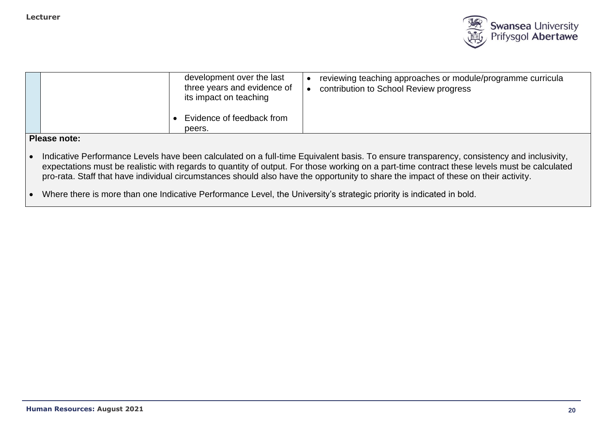

| development over the last<br>three years and evidence of<br>its impact on teaching | reviewing teaching approaches or module/programme curricula<br>contribution to School Review progress |
|------------------------------------------------------------------------------------|-------------------------------------------------------------------------------------------------------|
| Evidence of feedback from<br>peers.                                                |                                                                                                       |

- Indicative Performance Levels have been calculated on a full-time Equivalent basis. To ensure transparency, consistency and inclusivity, expectations must be realistic with regards to quantity of output. For those working on a part-time contract these levels must be calculated pro-rata. Staff that have individual circumstances should also have the opportunity to share the impact of these on their activity.
- Where there is more than one Indicative Performance Level, the University's strategic priority is indicated in bold.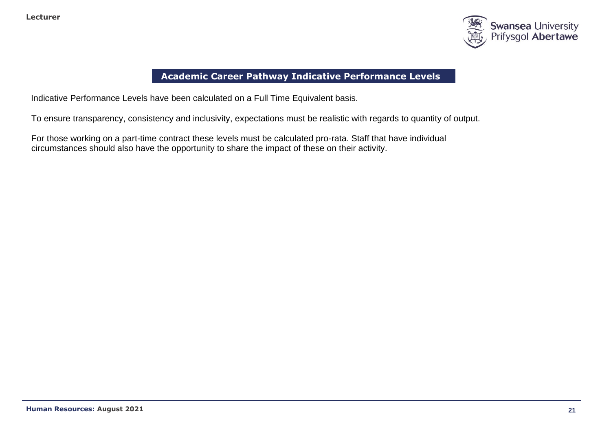

# **Academic Career Pathway Indicative Performance Levels**

Indicative Performance Levels have been calculated on a Full Time Equivalent basis.

To ensure transparency, consistency and inclusivity, expectations must be realistic with regards to quantity of output.

For those working on a part-time contract these levels must be calculated pro-rata. Staff that have individual circumstances should also have the opportunity to share the impact of these on their activity.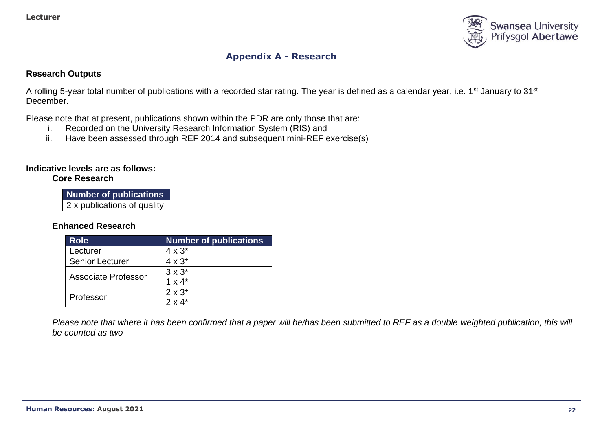

# **Appendix A - Research**

#### **Research Outputs**

A rolling 5-year total number of publications with a recorded star rating. The year is defined as a calendar year, i.e. 1<sup>st</sup> January to 31<sup>st</sup> December.

Please note that at present, publications shown within the PDR are only those that are:

- i. Recorded on the University Research Information System (RIS) and
- ii. Have been assessed through REF 2014 and subsequent mini-REF exercise(s)

## **Indicative levels are as follows:**

#### **Core Research**

**Number of publications** 2 x publications of quality

## **Enhanced Research**

| <b>Role</b>            | <b>Number of publications</b> |
|------------------------|-------------------------------|
| Lecturer               | $4 \times 3^*$                |
| <b>Senior Lecturer</b> | $4 \times 3^*$                |
| Associate Professor    | $3 \times 3^*$                |
|                        | $1 \times 4^*$                |
| Professor              | $2 \times 3^*$                |
|                        | $2 \times 4^*$                |

*Please note that where it has been confirmed that a paper will be/has been submitted to REF as a double weighted publication, this will be counted as two*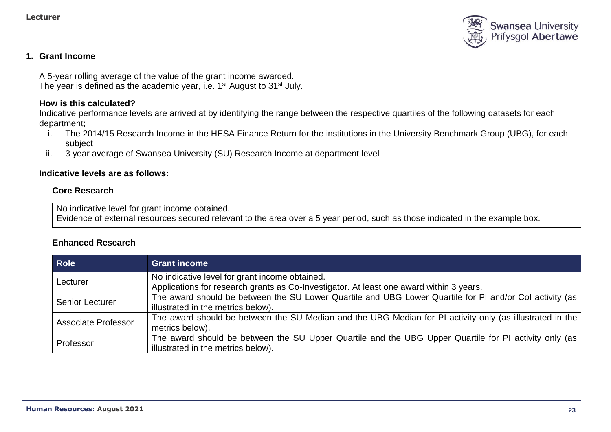

## **1. Grant Income**

A 5-year rolling average of the value of the grant income awarded. The year is defined as the academic year, i.e. 1<sup>st</sup> August to 31<sup>st</sup> July.

#### **How is this calculated?**

Indicative performance levels are arrived at by identifying the range between the respective quartiles of the following datasets for each department;

- i. The 2014/15 Research Income in the HESA Finance Return for the institutions in the University Benchmark Group (UBG), for each subject
- ii. 3 year average of Swansea University (SU) Research Income at department level

### **Indicative levels are as follows:**

#### **Core Research**

No indicative level for grant income obtained.

Evidence of external resources secured relevant to the area over a 5 year period, such as those indicated in the example box.

## **Enhanced Research**

| <b>Role</b>                | <b>Grant income</b>                                                                                      |
|----------------------------|----------------------------------------------------------------------------------------------------------|
| Lecturer                   | No indicative level for grant income obtained.                                                           |
|                            | Applications for research grants as Co-Investigator. At least one award within 3 years.                  |
| <b>Senior Lecturer</b>     | The award should be between the SU Lower Quartile and UBG Lower Quartile for PI and/or Col activity (as  |
|                            | illustrated in the metrics below).                                                                       |
| <b>Associate Professor</b> | The award should be between the SU Median and the UBG Median for PI activity only (as illustrated in the |
|                            | metrics below).                                                                                          |
| Professor                  | The award should be between the SU Upper Quartile and the UBG Upper Quartile for PI activity only (as    |
|                            | illustrated in the metrics below).                                                                       |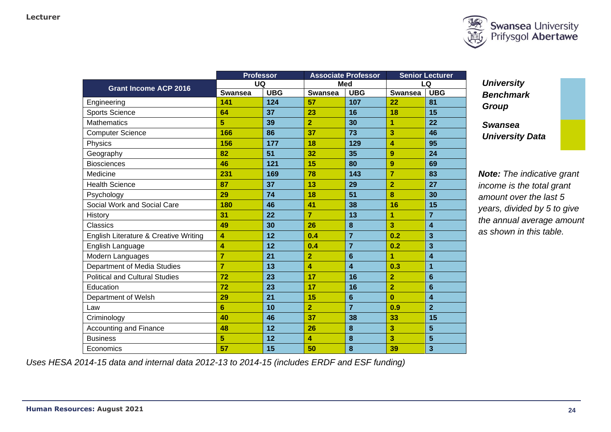

|                |     |                                             |                |                                          | <b>Senior Lecturer</b>  |
|----------------|-----|---------------------------------------------|----------------|------------------------------------------|-------------------------|
|                |     | <b>Med</b>                                  |                | LQ                                       |                         |
| <b>Swansea</b> |     | <b>Swansea</b>                              |                | <b>Swansea</b>                           | <b>UBG</b>              |
| 141            | 124 | 57                                          | 107            | 22                                       | 81                      |
| 64             | 37  | 23                                          | 16             | 18                                       | 15                      |
| 5              | 39  | $\overline{2}$                              | 30             | 1                                        | 22                      |
| 166            | 86  | 37                                          | 73             | 3                                        | 46                      |
| 156            | 177 | 18                                          | 129            | 4                                        | 95                      |
| 82             | 51  | 32                                          | 35             | 9                                        | 24                      |
| 46             | 121 | 15                                          | 80             | 9                                        | 69                      |
| 231            | 169 | 78                                          | 143            | 7                                        | 83                      |
| 87             | 37  | 13                                          | 29             | $\overline{2}$                           | 27                      |
| 29             | 74  | 18                                          | 51             | 8                                        | 30                      |
| 180            | 46  | 41                                          | 38             | 16                                       | 15                      |
| 31             | 22  | $\overline{7}$                              | 13             | 1                                        | $\overline{7}$          |
| 49             | 30  | 26                                          | 8              | 3                                        | $\overline{\mathbf{4}}$ |
| 4              | 12  | 0.4                                         | $\overline{7}$ | 0.2                                      | 3                       |
| 4              | 12  | 0.4                                         | $\overline{7}$ | 0.2                                      | 3                       |
| $\overline{7}$ | 21  | $\overline{2}$                              | $6\phantom{1}$ | 1                                        | $\overline{\mathbf{4}}$ |
| $\overline{7}$ | 13  | 4                                           | 4              | 0.3                                      | $\mathbf{1}$            |
| 72             | 23  | 17                                          | 16             | $\overline{2}$                           | $6\phantom{1}6$         |
| 72             | 23  | 17                                          | 16             | $\overline{2}$                           | $6\phantom{1}6$         |
| 29             | 21  | 15                                          | $6\phantom{1}$ | $\bf{0}$                                 | $\overline{\mathbf{4}}$ |
| 6              | 10  | $\overline{2}$                              | $\overline{7}$ | 0.9                                      | $\overline{2}$          |
| 40             | 46  | 37                                          | 38             | 33                                       | 15                      |
| 48             | 12  | 26                                          | 8              | 3                                        | 5                       |
| 5              | 12  | 4                                           | $\bf{8}$       | 3                                        | 5                       |
| 57             | 15  | 50                                          | 8              | 39                                       | $\overline{\mathbf{3}}$ |
|                |     | <b>Professor</b><br><b>UQ</b><br><b>UBG</b> |                | <b>Associate Professor</b><br><b>UBG</b> |                         |

*University Benchmark Group*

*Swansea University Data*

*Note: The indicative grant income is the total grant amount over the last 5 years, divided by 5 to give the annual average amount as shown in this table.*

*Uses HESA 2014-15 data and internal data 2012-13 to 2014-15 (includes ERDF and ESF funding)*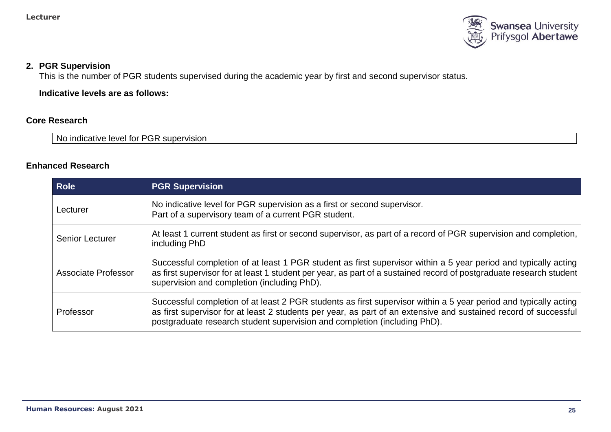

### **2. PGR Supervision**

This is the number of PGR students supervised during the academic year by first and second supervisor status.

**Indicative levels are as follows:**

## **Core Research**

No indicative level for PGR supervision

## **Enhanced Research**

| <b>Role</b>            | <b>PGR Supervision</b>                                                                                                                                                                                                                                                                                            |
|------------------------|-------------------------------------------------------------------------------------------------------------------------------------------------------------------------------------------------------------------------------------------------------------------------------------------------------------------|
| Lecturer               | No indicative level for PGR supervision as a first or second supervisor.<br>Part of a supervisory team of a current PGR student.                                                                                                                                                                                  |
| <b>Senior Lecturer</b> | At least 1 current student as first or second supervisor, as part of a record of PGR supervision and completion,  <br>including PhD                                                                                                                                                                               |
| Associate Professor    | Successful completion of at least 1 PGR student as first supervisor within a 5 year period and typically acting<br>as first supervisor for at least 1 student per year, as part of a sustained record of postgraduate research student<br>supervision and completion (including PhD).                             |
| Professor              | Successful completion of at least 2 PGR students as first supervisor within a 5 year period and typically acting<br>as first supervisor for at least 2 students per year, as part of an extensive and sustained record of successful<br>postgraduate research student supervision and completion (including PhD). |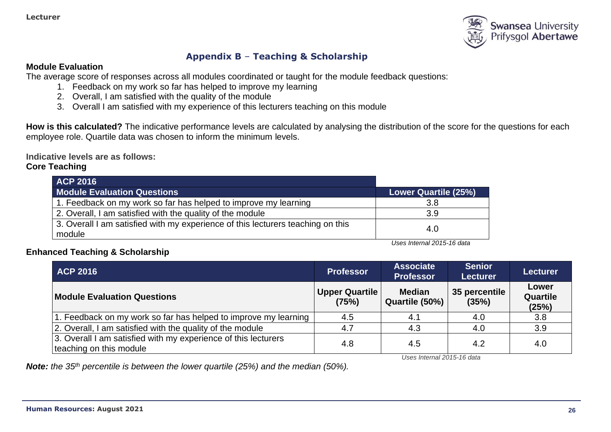

# **Appendix B** – **Teaching & Scholarship**

#### **Module Evaluation**

The average score of responses across all modules coordinated or taught for the module feedback questions:

- 1. Feedback on my work so far has helped to improve my learning
- 2. Overall, I am satisfied with the quality of the module
- 3. Overall I am satisfied with my experience of this lecturers teaching on this module

**How is this calculated?** The indicative performance levels are calculated by analysing the distribution of the score for the questions for each employee role. Quartile data was chosen to inform the minimum levels.

**Indicative levels are as follows:** 

## **Core Teaching**

| <b>ACP 2016</b>                                                                           |                      |
|-------------------------------------------------------------------------------------------|----------------------|
| <b>Module Evaluation Questions</b>                                                        | Lower Quartile (25%) |
| 1. Feedback on my work so far has helped to improve my learning                           | 3.8                  |
| 2. Overall, I am satisfied with the quality of the module                                 | 3.9                  |
| 3. Overall I am satisfied with my experience of this lecturers teaching on this<br>module | 4.0                  |

*Uses Internal 2015-16 data*

## **Enhanced Teaching & Scholarship**

| <b>ACP 2016</b>                                                                           | <b>Professor</b>               | <b>Associate</b><br><b>Professor</b> | <b>Senior</b><br><b>Lecturer</b> | <b>Lecturer</b>                   |
|-------------------------------------------------------------------------------------------|--------------------------------|--------------------------------------|----------------------------------|-----------------------------------|
| <b>Module Evaluation Questions</b>                                                        | <b>Upper Quartile</b><br>(75%) | <b>Median</b><br>Quartile (50%)      | 35 percentile<br>(35%)           | Lower<br><b>Quartile</b><br>(25%) |
| 1. Feedback on my work so far has helped to improve my learning                           | 4.5                            | 4.1                                  | 4.0                              | 3.8                               |
| 2. Overall, I am satisfied with the quality of the module                                 | 4.7                            | 4.3                                  | 4.0                              | 3.9                               |
| 3. Overall I am satisfied with my experience of this lecturers<br>teaching on this module | 4.8                            | 4.5                                  | 4.2                              | 4.0                               |

*Uses Internal 2015-16 data*

*Note: the 35th percentile is between the lower quartile (25%) and the median (50%).*